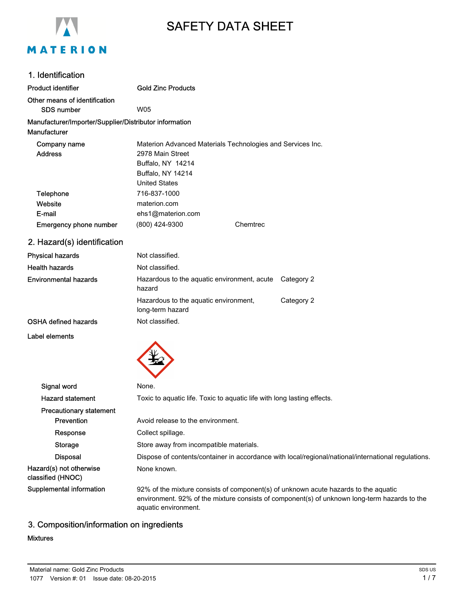

# SAFETY DATA SHEET

| 1. Identification                                                             |                                                                                                                                                                                                             |  |  |
|-------------------------------------------------------------------------------|-------------------------------------------------------------------------------------------------------------------------------------------------------------------------------------------------------------|--|--|
| <b>Product identifier</b>                                                     | <b>Gold Zinc Products</b>                                                                                                                                                                                   |  |  |
| Other means of identification                                                 |                                                                                                                                                                                                             |  |  |
| <b>SDS number</b>                                                             | W05                                                                                                                                                                                                         |  |  |
| Manufacturer/Importer/Supplier/Distributor information<br><b>Manufacturer</b> |                                                                                                                                                                                                             |  |  |
| Company name                                                                  | Materion Advanced Materials Technologies and Services Inc.                                                                                                                                                  |  |  |
| <b>Address</b>                                                                | 2978 Main Street                                                                                                                                                                                            |  |  |
|                                                                               | Buffalo, NY 14214                                                                                                                                                                                           |  |  |
|                                                                               | Buffalo, NY 14214                                                                                                                                                                                           |  |  |
|                                                                               | <b>United States</b>                                                                                                                                                                                        |  |  |
| Telephone<br>Website                                                          | 716-837-1000<br>materion.com                                                                                                                                                                                |  |  |
| E-mail                                                                        | ehs1@materion.com                                                                                                                                                                                           |  |  |
| <b>Emergency phone number</b>                                                 | (800) 424-9300<br>Chemtrec                                                                                                                                                                                  |  |  |
| 2. Hazard(s) identification                                                   |                                                                                                                                                                                                             |  |  |
| <b>Physical hazards</b>                                                       | Not classified.                                                                                                                                                                                             |  |  |
| <b>Health hazards</b>                                                         | Not classified.                                                                                                                                                                                             |  |  |
| <b>Environmental hazards</b>                                                  | Hazardous to the aquatic environment, acute<br>Category 2<br>hazard                                                                                                                                         |  |  |
|                                                                               | Hazardous to the aquatic environment,<br>Category 2<br>long-term hazard                                                                                                                                     |  |  |
| <b>OSHA defined hazards</b>                                                   | Not classified.                                                                                                                                                                                             |  |  |
| Label elements                                                                |                                                                                                                                                                                                             |  |  |
|                                                                               |                                                                                                                                                                                                             |  |  |
| Signal word                                                                   | None.                                                                                                                                                                                                       |  |  |
| <b>Hazard statement</b>                                                       | Toxic to aquatic life. Toxic to aquatic life with long lasting effects.                                                                                                                                     |  |  |
| <b>Precautionary statement</b>                                                |                                                                                                                                                                                                             |  |  |
| Prevention                                                                    | Avoid release to the environment.                                                                                                                                                                           |  |  |
| Response                                                                      | Collect spillage.                                                                                                                                                                                           |  |  |
| Storage                                                                       | Store away from incompatible materials.                                                                                                                                                                     |  |  |
| <b>Disposal</b>                                                               | Dispose of contents/container in accordance with local/regional/national/international regulations.                                                                                                         |  |  |
| Hazard(s) not otherwise<br>classified (HNOC)                                  | None known.                                                                                                                                                                                                 |  |  |
| Supplemental information                                                      | 92% of the mixture consists of component(s) of unknown acute hazards to the aquatic<br>environment. 92% of the mixture consists of component(s) of unknown long-term hazards to the<br>aquatic environment. |  |  |

# 3. Composition/information on ingredients

#### Mixtures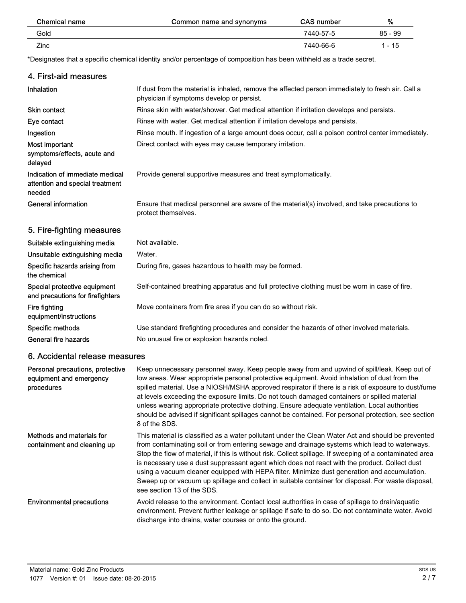| Chemical name | Common name and synonyms | <b>CAS number</b> | %         |
|---------------|--------------------------|-------------------|-----------|
| Gold          |                          | 7440-57-5         | $85 - 99$ |
| Zinc          |                          | 7440-66-6         | 1 - 15    |

\*Designates that a specific chemical identity and/or percentage of composition has been withheld as a trade secret.

### 4. First-aid measures If dust from the material is inhaled, remove the affected person immediately to fresh air. Call a physician if symptoms develop or persist. Inhalation Skin contact **Rinse skin with water/shower. Get medical attention if irritation develops and persists.** Eye contact **Rinse with water. Get medical attention if irritation develops and persists.** Ingestion **Rinse mouth. If ingestion of a large amount does occur, call a poison control center immediately.** Most important **Direct contact with eyes may cause temporary irritation.** symptoms/effects, acute and delayed Indication of immediate medical Provide general supportive measures and treat symptomatically. attention and special treatment needed Ensure that medical personnel are aware of the material(s) involved, and take precautions to protect themselves. General information 5. Fire-fighting measures Suitable extinguishing media Not available. Unsuitable extinguishing media Water. Specific hazards arising from During fire, gases hazardous to health may be formed. the chemical Special protective equipment Self-contained breathing apparatus and full protective clothing must be worn in case of fire. and precautions for firefighters Fire fighting **Fire fighting** Move containers from fire area if you can do so without risk. equipment/instructions

Specific methods Use standard firefighting procedures and consider the hazards of other involved materials. General fire hazards No unusual fire or explosion hazards noted.

#### 6. Accidental release measures

| Personal precautions, protective<br>equipment and emergency<br>procedures | Keep unnecessary personnel away. Keep people away from and upwind of spill/leak. Keep out of<br>low areas. Wear appropriate personal protective equipment. Avoid inhalation of dust from the<br>spilled material. Use a NIOSH/MSHA approved respirator if there is a risk of exposure to dust/fume<br>at levels exceeding the exposure limits. Do not touch damaged containers or spilled material<br>unless wearing appropriate protective clothing. Ensure adequate ventilation. Local authorities<br>should be advised if significant spillages cannot be contained. For personal protection, see section<br>8 of the SDS.                        |
|---------------------------------------------------------------------------|------------------------------------------------------------------------------------------------------------------------------------------------------------------------------------------------------------------------------------------------------------------------------------------------------------------------------------------------------------------------------------------------------------------------------------------------------------------------------------------------------------------------------------------------------------------------------------------------------------------------------------------------------|
| Methods and materials for<br>containment and cleaning up                  | This material is classified as a water pollutant under the Clean Water Act and should be prevented<br>from contaminating soil or from entering sewage and drainage systems which lead to waterways.<br>Stop the flow of material, if this is without risk. Collect spillage. If sweeping of a contaminated area<br>is necessary use a dust suppressant agent which does not react with the product. Collect dust<br>using a vacuum cleaner equipped with HEPA filter. Minimize dust generation and accumulation.<br>Sweep up or vacuum up spillage and collect in suitable container for disposal. For waste disposal,<br>see section 13 of the SDS. |
| <b>Environmental precautions</b>                                          | Avoid release to the environment. Contact local authorities in case of spillage to drain/aquatic<br>environment. Prevent further leakage or spillage if safe to do so. Do not contaminate water. Avoid<br>discharge into drains, water courses or onto the ground.                                                                                                                                                                                                                                                                                                                                                                                   |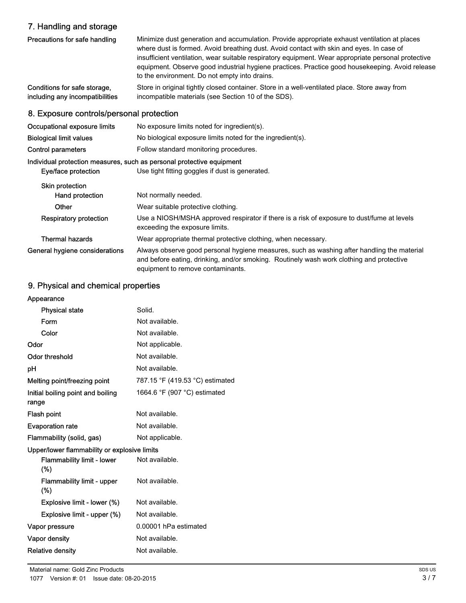# 7. Handling and storage

| 7. Handing and studyc                                           |                                                                                                                                                                                                                                                                                                                                                                                                                                                     |  |
|-----------------------------------------------------------------|-----------------------------------------------------------------------------------------------------------------------------------------------------------------------------------------------------------------------------------------------------------------------------------------------------------------------------------------------------------------------------------------------------------------------------------------------------|--|
| Precautions for safe handling                                   | Minimize dust generation and accumulation. Provide appropriate exhaust ventilation at places<br>where dust is formed. Avoid breathing dust. Avoid contact with skin and eyes. In case of<br>insufficient ventilation, wear suitable respiratory equipment. Wear appropriate personal protective<br>equipment. Observe good industrial hygiene practices. Practice good housekeeping. Avoid release<br>to the environment. Do not empty into drains. |  |
| Conditions for safe storage,<br>including any incompatibilities | Store in original tightly closed container. Store in a well-ventilated place. Store away from<br>incompatible materials (see Section 10 of the SDS).                                                                                                                                                                                                                                                                                                |  |
| 8. Exposure controls/personal protection                        |                                                                                                                                                                                                                                                                                                                                                                                                                                                     |  |
| Occupational exposure limits                                    | No exposure limits noted for ingredient(s).                                                                                                                                                                                                                                                                                                                                                                                                         |  |
| <b>Biological limit values</b>                                  | No biological exposure limits noted for the ingredient(s).                                                                                                                                                                                                                                                                                                                                                                                          |  |
| Control parameters                                              | Follow standard monitoring procedures.                                                                                                                                                                                                                                                                                                                                                                                                              |  |
|                                                                 | Individual protection measures, such as personal protective equipment                                                                                                                                                                                                                                                                                                                                                                               |  |
| Eye/face protection                                             | Use tight fitting goggles if dust is generated.                                                                                                                                                                                                                                                                                                                                                                                                     |  |
| Skin protection                                                 |                                                                                                                                                                                                                                                                                                                                                                                                                                                     |  |
| Hand protection                                                 | Not normally needed.                                                                                                                                                                                                                                                                                                                                                                                                                                |  |
| Other                                                           | Wear suitable protective clothing.                                                                                                                                                                                                                                                                                                                                                                                                                  |  |
| <b>Respiratory protection</b>                                   | Use a NIOSH/MSHA approved respirator if there is a risk of exposure to dust/fume at levels<br>exceeding the exposure limits.                                                                                                                                                                                                                                                                                                                        |  |
| <b>Thermal hazards</b>                                          | Wear appropriate thermal protective clothing, when necessary.                                                                                                                                                                                                                                                                                                                                                                                       |  |
| General hygiene considerations                                  | Always observe good personal hygiene measures, such as washing after handling the material<br>and before eating, drinking, and/or smoking. Routinely wash work clothing and protective<br>equipment to remove contaminants.                                                                                                                                                                                                                         |  |

# 9. Physical and chemical properties

| Appearance                                   |                                 |
|----------------------------------------------|---------------------------------|
| <b>Physical state</b>                        | Solid.                          |
| Form                                         | Not available.                  |
| Color                                        | Not available.                  |
| Odor                                         | Not applicable.                 |
| Odor threshold                               | Not available.                  |
| рH                                           | Not available.                  |
| Melting point/freezing point                 | 787.15 °F (419.53 °C) estimated |
| Initial boiling point and boiling<br>range   | 1664.6 °F (907 °C) estimated    |
| Flash point                                  | Not available.                  |
| <b>Evaporation rate</b>                      | Not available.                  |
| Flammability (solid, gas)                    | Not applicable.                 |
| Upper/lower flammability or explosive limits |                                 |
| <b>Flammability limit - lower</b><br>$(\%)$  | Not available.                  |
| Flammability limit - upper<br>(%)            | Not available.                  |
| Explosive limit - lower (%)                  | Not available.                  |
| Explosive limit - upper (%)                  | Not available.                  |
| Vapor pressure                               | 0.00001 hPa estimated           |
| Vapor density                                | Not available.                  |
| <b>Relative density</b>                      | Not available.                  |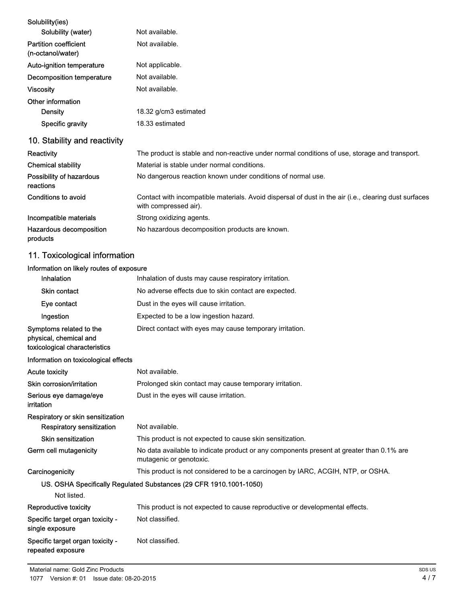| Solubility(ies)                                   |                                                                                                                                |
|---------------------------------------------------|--------------------------------------------------------------------------------------------------------------------------------|
| Solubility (water)                                | Not available.                                                                                                                 |
| <b>Partition coefficient</b><br>(n-octanol/water) | Not available.                                                                                                                 |
| Auto-ignition temperature                         | Not applicable.                                                                                                                |
| Decomposition temperature                         | Not available.                                                                                                                 |
| <b>Viscosity</b>                                  | Not available.                                                                                                                 |
| Other information                                 |                                                                                                                                |
| Density                                           | 18.32 g/cm3 estimated                                                                                                          |
| Specific gravity                                  | 18.33 estimated                                                                                                                |
| 10. Stability and reactivity                      |                                                                                                                                |
| Reactivity                                        | The product is stable and non-reactive under normal conditions of use, storage and transport.                                  |
| <b>Chemical stability</b>                         | Material is stable under normal conditions.                                                                                    |
| Possibility of hazardous<br>reactions             | No dangerous reaction known under conditions of normal use.                                                                    |
| Conditions to avoid                               | Contact with incompatible materials. Avoid dispersal of dust in the air (i.e., clearing dust surfaces<br>with compressed air). |
| Incompatible materials                            | Strong oxidizing agents.                                                                                                       |
| Hazardous decomposition<br>products               | No hazardous decomposition products are known.                                                                                 |
| 11. Toxicological information                     |                                                                                                                                |

## Information on likely routes of exposure

| Inhalation                                                                         | Inhalation of dusts may cause respiratory irritation.                                                               |
|------------------------------------------------------------------------------------|---------------------------------------------------------------------------------------------------------------------|
| Skin contact                                                                       | No adverse effects due to skin contact are expected.                                                                |
| Eye contact                                                                        | Dust in the eyes will cause irritation.                                                                             |
| Ingestion                                                                          | Expected to be a low ingestion hazard.                                                                              |
| Symptoms related to the<br>physical, chemical and<br>toxicological characteristics | Direct contact with eyes may cause temporary irritation.                                                            |
| Information on toxicological effects                                               |                                                                                                                     |
| <b>Acute toxicity</b>                                                              | Not available.                                                                                                      |
| Skin corrosion/irritation                                                          | Prolonged skin contact may cause temporary irritation.                                                              |
| Serious eye damage/eye<br>irritation                                               | Dust in the eyes will cause irritation.                                                                             |
| Respiratory or skin sensitization                                                  |                                                                                                                     |
| <b>Respiratory sensitization</b>                                                   | Not available.                                                                                                      |
| Skin sensitization                                                                 | This product is not expected to cause skin sensitization.                                                           |
| Germ cell mutagenicity                                                             | No data available to indicate product or any components present at greater than 0.1% are<br>mutagenic or genotoxic. |
| Carcinogenicity                                                                    | This product is not considered to be a carcinogen by IARC, ACGIH, NTP, or OSHA.                                     |
|                                                                                    | US. OSHA Specifically Regulated Substances (29 CFR 1910.1001-1050)                                                  |
| Not listed.                                                                        |                                                                                                                     |
| Reproductive toxicity                                                              | This product is not expected to cause reproductive or developmental effects.                                        |
| Specific target organ toxicity -<br>single exposure                                | Not classified.                                                                                                     |
| Specific target organ toxicity -<br>repeated exposure                              | Not classified.                                                                                                     |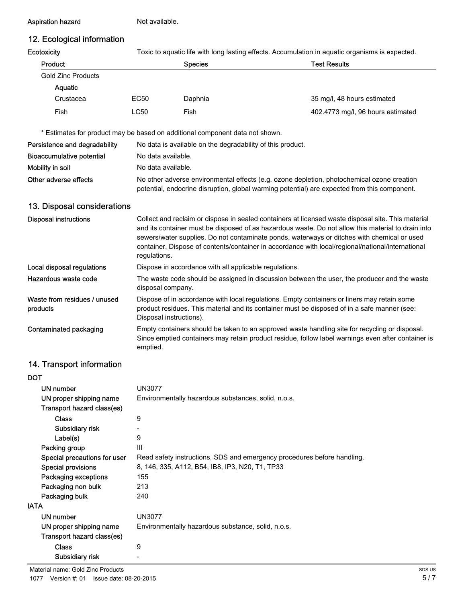#### Aspiration hazard Not available.

# 12. Ecological information

| Ecotoxicity |  |
|-------------|--|
|             |  |

**ty** exid Toxic to aquatic life with long lasting effects. Accumulation in aquatic organisms is expected.

| Product            |      | <b>Species</b> | <b>Test Results</b>               |
|--------------------|------|----------------|-----------------------------------|
| Gold Zinc Products |      |                |                                   |
| <b>Aquatic</b>     |      |                |                                   |
| Crustacea          | EC50 | Daphnia        | 35 mg/l, 48 hours estimated       |
| Fish               | LC50 | Fish           | 402.4773 mg/l, 96 hours estimated |

\* Estimates for product may be based on additional component data not shown.

| Persistence and degradability | No data is available on the degradability of this product.                                                                                                                                 |
|-------------------------------|--------------------------------------------------------------------------------------------------------------------------------------------------------------------------------------------|
| Bioaccumulative potential     | No data available.                                                                                                                                                                         |
| Mobility in soil              | No data available.                                                                                                                                                                         |
| Other adverse effects         | No other adverse environmental effects (e.g. ozone depletion, photochemical ozone creation<br>potential, endocrine disruption, global warming potential) are expected from this component. |

### 13. Disposal considerations

| <b>Disposal instructions</b>             | Collect and reclaim or dispose in sealed containers at licensed waste disposal site. This material<br>and its container must be disposed of as hazardous waste. Do not allow this material to drain into<br>sewers/water supplies. Do not contaminate ponds, waterways or ditches with chemical or used<br>container. Dispose of contents/container in accordance with local/regional/national/international<br>regulations. |
|------------------------------------------|------------------------------------------------------------------------------------------------------------------------------------------------------------------------------------------------------------------------------------------------------------------------------------------------------------------------------------------------------------------------------------------------------------------------------|
| Local disposal regulations               | Dispose in accordance with all applicable regulations.                                                                                                                                                                                                                                                                                                                                                                       |
| Hazardous waste code                     | The waste code should be assigned in discussion between the user, the producer and the waste<br>disposal company.                                                                                                                                                                                                                                                                                                            |
| Waste from residues / unused<br>products | Dispose of in accordance with local regulations. Empty containers or liners may retain some<br>product residues. This material and its container must be disposed of in a safe manner (see:<br>Disposal instructions).                                                                                                                                                                                                       |
| Contaminated packaging                   | Empty containers should be taken to an approved waste handling site for recycling or disposal.<br>Since emptied containers may retain product residue, follow label warnings even after container is<br>emptied.                                                                                                                                                                                                             |

## 14. Transport information

| <b>DOT</b>                   |                                                                         |
|------------------------------|-------------------------------------------------------------------------|
| UN number                    | <b>UN3077</b>                                                           |
| UN proper shipping name      | Environmentally hazardous substances, solid, n.o.s.                     |
| Transport hazard class(es)   |                                                                         |
| <b>Class</b>                 | 9                                                                       |
| Subsidiary risk              |                                                                         |
| Label(s)                     | 9                                                                       |
| Packing group                | III                                                                     |
| Special precautions for user | Read safety instructions, SDS and emergency procedures before handling. |
| <b>Special provisions</b>    | 8, 146, 335, A112, B54, IB8, IP3, N20, T1, TP33                         |
| Packaging exceptions         | 155                                                                     |
| Packaging non bulk           | 213                                                                     |
| Packaging bulk               | 240                                                                     |
| <b>IATA</b>                  |                                                                         |
| UN number                    | <b>UN3077</b>                                                           |
| UN proper shipping name      | Environmentally hazardous substance, solid, n.o.s.                      |
| Transport hazard class(es)   |                                                                         |
| <b>Class</b>                 | 9                                                                       |
| Subsidiary risk              |                                                                         |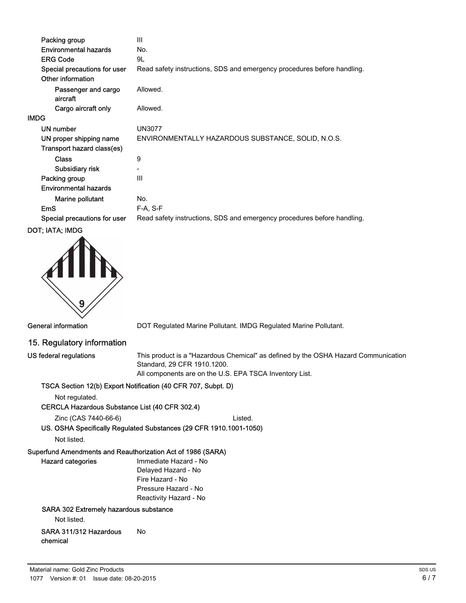| Packing group                   | Ш                                                                       |
|---------------------------------|-------------------------------------------------------------------------|
| <b>Environmental hazards</b>    | No.                                                                     |
| <b>ERG Code</b>                 | 9L                                                                      |
| Special precautions for user    | Read safety instructions, SDS and emergency procedures before handling. |
| Other information               |                                                                         |
| Passenger and cargo<br>aircraft | Allowed.                                                                |
| Cargo aircraft only             | Allowed.                                                                |
| <b>IMDG</b>                     |                                                                         |
| UN number                       | <b>UN3077</b>                                                           |
| UN proper shipping name         | ENVIRONMENTALLY HAZARDOUS SUBSTANCE, SOLID, N.O.S.                      |
| Transport hazard class(es)      |                                                                         |
| <b>Class</b>                    | 9                                                                       |
| Subsidiary risk                 |                                                                         |
| Packing group                   | Ш                                                                       |
| <b>Environmental hazards</b>    |                                                                         |
| Marine pollutant                | No.                                                                     |
| <b>EmS</b>                      | $F-A, S-F$                                                              |
| Special precautions for user    | Read safety instructions, SDS and emergency procedures before handling. |
|                                 |                                                                         |



General information **DOT Regulated Marine Pollutant. IMDG Regulated Marine Pollutant.** 

#### 15. Regulatory information

US federal regulations

This product is a "Hazardous Chemical" as defined by the OSHA Hazard Communication Standard, 29 CFR 1910.1200. All components are on the U.S. EPA TSCA Inventory List.

#### TSCA Section 12(b) Export Notification (40 CFR 707, Subpt. D)

Not regulated.

#### CERCLA Hazardous Substance List (40 CFR 302.4)

Zinc (CAS 7440-66-6) Listed.

US. OSHA Specifically Regulated Substances (29 CFR 1910.1001-1050)

Not listed.

#### Superfund Amendments and Reauthorization Act of 1986 (SARA) Hazard categories

Immediate Hazard - No Delayed Hazard - No Fire Hazard - No Pressure Hazard - No Reactivity Hazard - No

#### SARA 302 Extremely hazardous substance

Not listed.

#### SARA 311/312 Hazardous No chemical